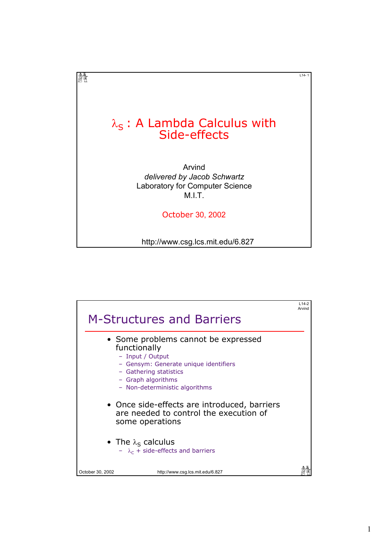L14- 1

1

## $\lambda_{\mathsf{S}}$  : A Lambda Calculus with Side-effects

饡

Arvind *delivered by Jacob Schwartz* Laboratory for Computer Science M.I.T.

October 30, 2002

http://www.csg.lcs.mit.edu/6.827

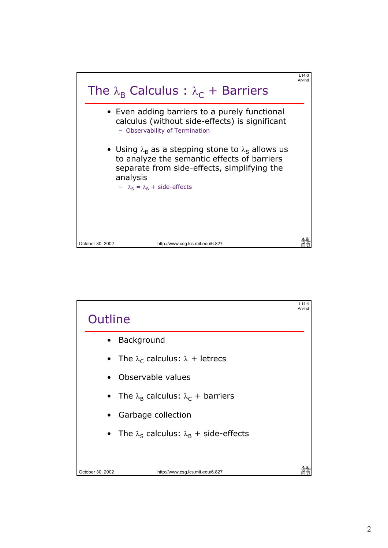



 $\overline{a}$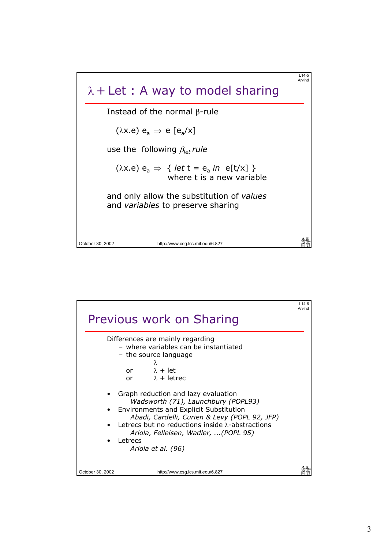



 $\mathcal{L}$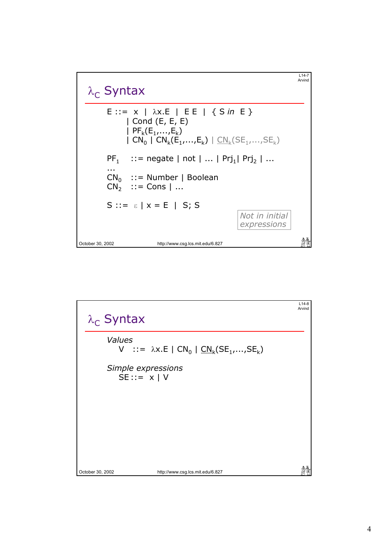

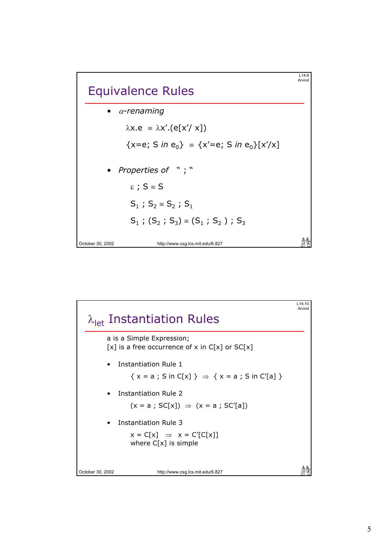

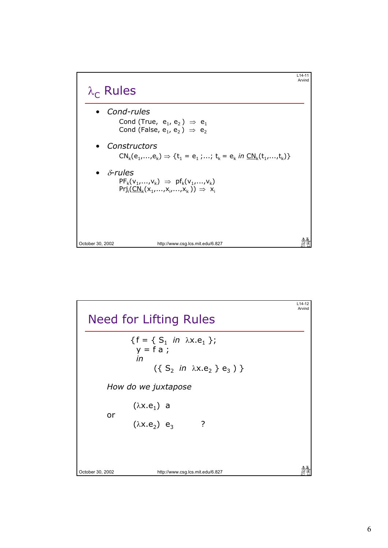

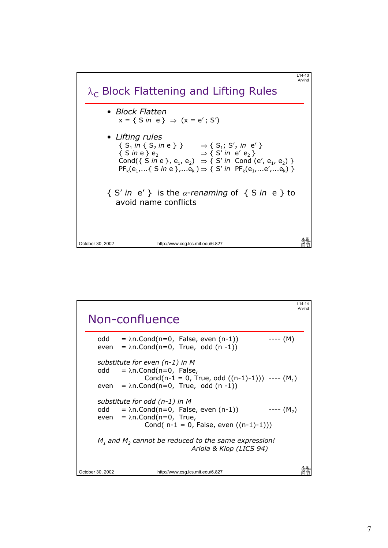



 $\overline{r}$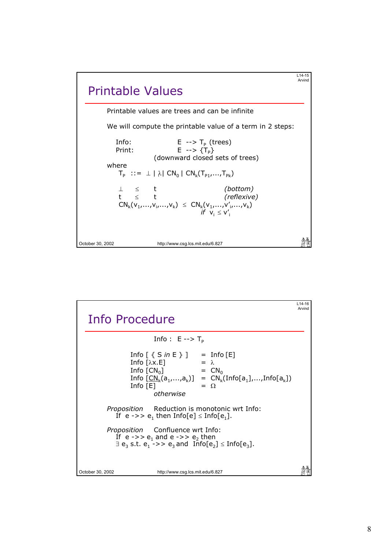



 $\epsilon$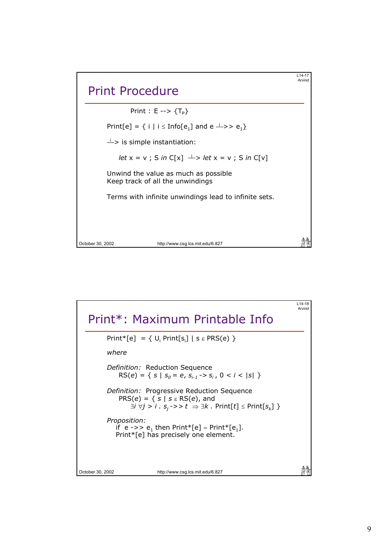



 $\epsilon$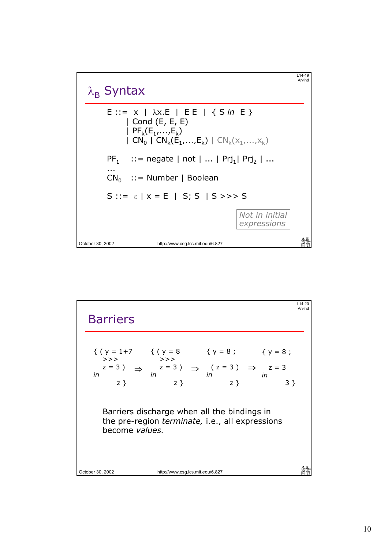

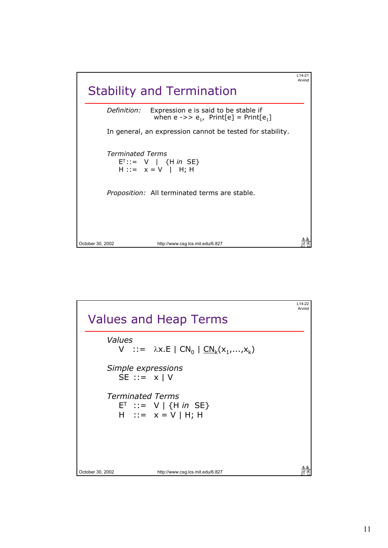

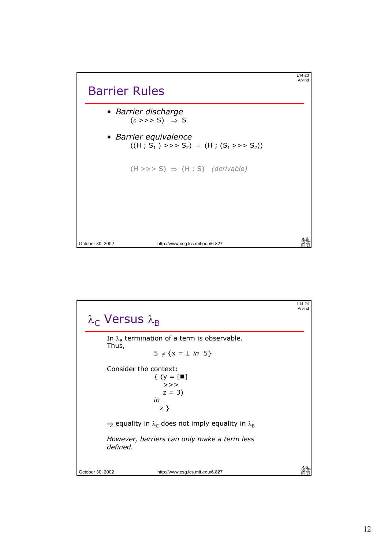

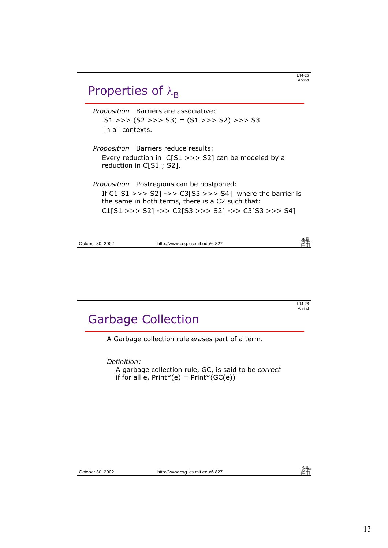



## $1<sub>2</sub>$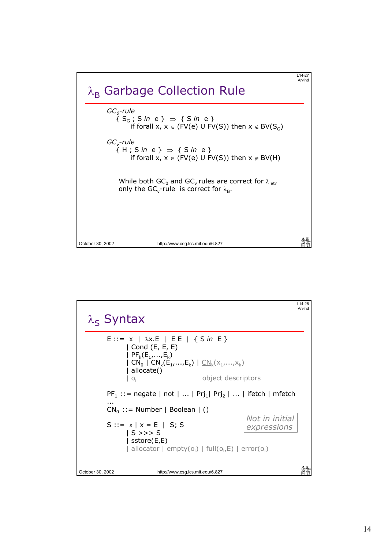

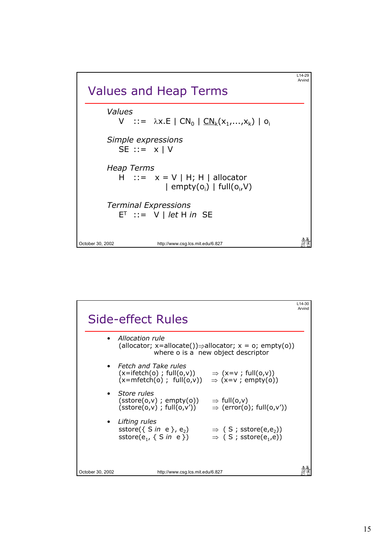

| Side-effect Rules |                                                                                                                                                                                                | $L14 - 30$<br>Arvind |
|-------------------|------------------------------------------------------------------------------------------------------------------------------------------------------------------------------------------------|----------------------|
|                   | Allocation rule<br>(allocator; x=allocate()) $\Rightarrow$ allocator; x = o; empty(o))<br>where o is a new object descriptor                                                                   |                      |
|                   | • Fetch and Take rules<br>$(x=ifetch(o)$ ; $full(o,v))$ $\Rightarrow$ $(x=v$ ; $full(o,v))$<br>$(x=$ mfetch(o); full(o,v)) $\Rightarrow$ $(x=v;$ empty(o))                                     |                      |
|                   | Store rules<br>$(\mathsf{sstore}(o, v) ; \mathsf{empty}(o)) \Rightarrow \mathsf{full}(o, v)$<br>$\text{(sstore(o,v), full(o,v'))} \Rightarrow \text{(error(o), full(o,v'))}$                   |                      |
|                   | Lifting rules<br>sstore({ S in e }, e <sub>2</sub> ) $\Rightarrow$ ( S ; sstore(e,e <sub>2</sub> ))<br>sstore $(e_1, \{ S \text{ in } e \})$<br>$\Rightarrow$ ( S ; sstore(e <sub>1</sub> ,e)) |                      |
| October 30, 2002  | http://www.csg.lcs.mit.edu/6.827                                                                                                                                                               |                      |